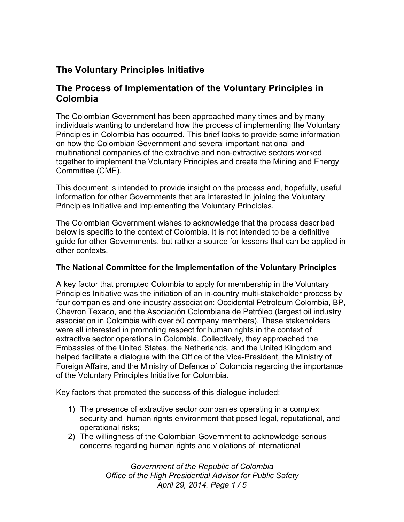# **The Voluntary Principles Initiative**

## **The Process of Implementation of the Voluntary Principles in Colombia**

The Colombian Government has been approached many times and by many individuals wanting to understand how the process of implementing the Voluntary Principles in Colombia has occurred. This brief looks to provide some information on how the Colombian Government and several important national and multinational companies of the extractive and non-extractive sectors worked together to implement the Voluntary Principles and create the Mining and Energy Committee (CME).

This document is intended to provide insight on the process and, hopefully, useful information for other Governments that are interested in joining the Voluntary Principles Initiative and implementing the Voluntary Principles.

The Colombian Government wishes to acknowledge that the process described below is specific to the context of Colombia. It is not intended to be a definitive guide for other Governments, but rather a source for lessons that can be applied in other contexts.

#### **The National Committee for the Implementation of the Voluntary Principles**

A key factor that prompted Colombia to apply for membership in the Voluntary Principles Initiative was the initiation of an in-country multi-stakeholder process by four companies and one industry association: Occidental Petroleum Colombia, BP, Chevron Texaco, and the Asociación Colombiana de Petróleo (largest oil industry association in Colombia with over 50 company members). These stakeholders were all interested in promoting respect for human rights in the context of extractive sector operations in Colombia. Collectively, they approached the Embassies of the United States, the Netherlands, and the United Kingdom and helped facilitate a dialogue with the Office of the Vice-President, the Ministry of Foreign Affairs, and the Ministry of Defence of Colombia regarding the importance of the Voluntary Principles Initiative for Colombia.

Key factors that promoted the success of this dialogue included:

- 1) The presence of extractive sector companies operating in a complex security and human rights environment that posed legal, reputational, and operational risks;
- 2) The willingness of the Colombian Government to acknowledge serious concerns regarding human rights and violations of international

*Government of the Republic of Colombia Office of the High Presidential Advisor for Public Safety April 29, 2014. Page 1 / 5*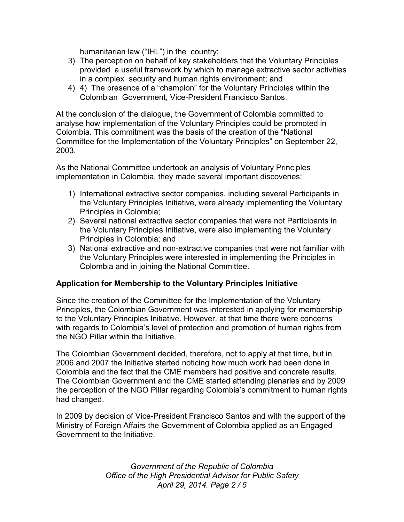humanitarian law ("IHL") in the country;

- 3) The perception on behalf of key stakeholders that the Voluntary Principles provided a useful framework by which to manage extractive sector activities in a complex security and human rights environment; and
- 4) 4) The presence of a "champion" for the Voluntary Principles within the Colombian Government, Vice-President Francisco Santos.

At the conclusion of the dialogue, the Government of Colombia committed to analyse how implementation of the Voluntary Principles could be promoted in Colombia. This commitment was the basis of the creation of the "National Committee for the Implementation of the Voluntary Principles" on September 22, 2003.

As the National Committee undertook an analysis of Voluntary Principles implementation in Colombia, they made several important discoveries:

- 1) International extractive sector companies, including several Participants in the Voluntary Principles Initiative, were already implementing the Voluntary Principles in Colombia;
- 2) Several national extractive sector companies that were not Participants in the Voluntary Principles Initiative, were also implementing the Voluntary Principles in Colombia; and
- 3) National extractive and non-extractive companies that were not familiar with the Voluntary Principles were interested in implementing the Principles in Colombia and in joining the National Committee.

#### **Application for Membership to the Voluntary Principles Initiative**

Since the creation of the Committee for the Implementation of the Voluntary Principles, the Colombian Government was interested in applying for membership to the Voluntary Principles Initiative. However, at that time there were concerns with regards to Colombia's level of protection and promotion of human rights from the NGO Pillar within the Initiative.

The Colombian Government decided, therefore, not to apply at that time, but in 2006 and 2007 the Initiative started noticing how much work had been done in Colombia and the fact that the CME members had positive and concrete results. The Colombian Government and the CME started attending plenaries and by 2009 the perception of the NGO Pillar regarding Colombia's commitment to human rights had changed.

In 2009 by decision of Vice-President Francisco Santos and with the support of the Ministry of Foreign Affairs the Government of Colombia applied as an Engaged Government to the Initiative.

> *Government of the Republic of Colombia Office of the High Presidential Advisor for Public Safety April 29, 2014. Page 2 / 5*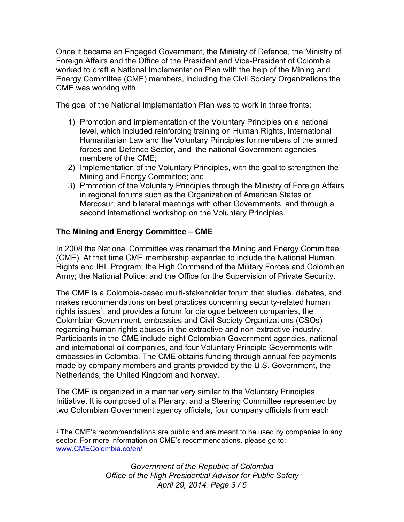Once it became an Engaged Government, the Ministry of Defence, the Ministry of Foreign Affairs and the Office of the President and Vice-President of Colombia worked to draft a National Implementation Plan with the help of the Mining and Energy Committee (CME) members, including the Civil Society Organizations the CME was working with.

The goal of the National Implementation Plan was to work in three fronts:

- 1) Promotion and implementation of the Voluntary Principles on a national level, which included reinforcing training on Human Rights, International Humanitarian Law and the Voluntary Principles for members of the armed forces and Defence Sector, and the national Government agencies members of the CME;
- 2) Implementation of the Voluntary Principles, with the goal to strengthen the Mining and Energy Committee; and
- 3) Promotion of the Voluntary Principles through the Ministry of Foreign Affairs in regional forums such as the Organization of American States or Mercosur, and bilateral meetings with other Governments, and through a second international workshop on the Voluntary Principles.

### **The Mining and Energy Committee – CME**

 

In 2008 the National Committee was renamed the Mining and Energy Committee (CME). At that time CME membership expanded to include the National Human Rights and IHL Program; the High Command of the Military Forces and Colombian Army; the National Police; and the Office for the Supervision of Private Security.

The CME is a Colombia-based multi-stakeholder forum that studies, debates, and makes recommendations on best practices concerning security-related human rights issues<sup>1</sup>, and provides a forum for dialogue between companies, the Colombian Government, embassies and Civil Society Organizations (CSOs) regarding human rights abuses in the extractive and non-extractive industry. Participants in the CME include eight Colombian Government agencies, national and international oil companies, and four Voluntary Principle Governments with embassies in Colombia. The CME obtains funding through annual fee payments made by company members and grants provided by the U.S. Government, the Netherlands, the United Kingdom and Norway.

The CME is organized in a manner very similar to the Voluntary Principles Initiative. It is composed of a Plenary, and a Steering Committee represented by two Colombian Government agency officials, four company officials from each

*Government of the Republic of Colombia Office of the High Presidential Advisor for Public Safety April 29, 2014. Page 3 / 5*

 $1$  The CME's recommendations are public and are meant to be used by companies in any sector. For more information on CME's recommendations, please go to: www.CMEColombia.co/en/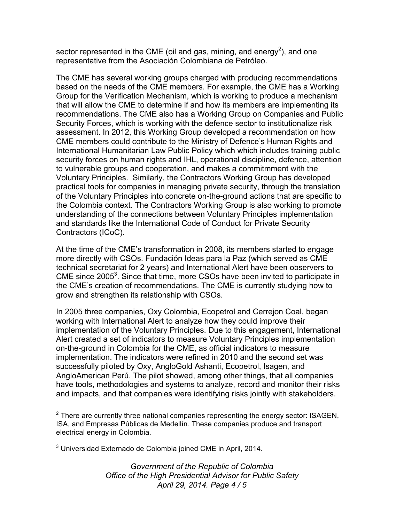sector represented in the CME (oil and gas, mining, and energy<sup>2</sup>), and one representative from the Asociación Colombiana de Petróleo.

The CME has several working groups charged with producing recommendations based on the needs of the CME members. For example, the CME has a Working Group for the Verification Mechanism, which is working to produce a mechanism that will allow the CME to determine if and how its members are implementing its recommendations. The CME also has a Working Group on Companies and Public Security Forces, which is working with the defence sector to institutionalize risk assessment. In 2012, this Working Group developed a recommendation on how CME members could contribute to the Ministry of Defence's Human Rights and International Humanitarian Law Public Policy which which includes training public security forces on human rights and IHL, operational discipline, defence, attention to vulnerable groups and cooperation, and makes a commitmment with the Voluntary Principles. Similarly, the Contractors Working Group has developed practical tools for companies in managing private security, through the translation of the Voluntary Principles into concrete on-the-ground actions that are specific to the Colombia context. The Contractors Working Group is also working to promote understanding of the connections between Voluntary Principles implementation and standards like the International Code of Conduct for Private Security Contractors (ICoC).

At the time of the CME's transformation in 2008, its members started to engage more directly with CSOs. Fundación Ideas para la Paz (which served as CME technical secretariat for 2 years) and International Alert have been observers to CME since  $2005<sup>3</sup>$ . Since that time, more CSOs have been invited to participate in the CME's creation of recommendations. The CME is currently studying how to grow and strengthen its relationship with CSOs.

In 2005 three companies, Oxy Colombia, Ecopetrol and Cerrejon Coal, began working with International Alert to analyze how they could improve their implementation of the Voluntary Principles. Due to this engagement, International Alert created a set of indicators to measure Voluntary Principles implementation on-the-ground in Colombia for the CME, as official indicators to measure implementation. The indicators were refined in 2010 and the second set was successfully piloted by Oxy, AngloGold Ashanti, Ecopetrol, Isagen, and AngloAmerican Perú. The pilot showed, among other things, that all companies have tools, methodologies and systems to analyze, record and monitor their risks and impacts, and that companies were identifying risks jointly with stakeholders.

*Government of the Republic of Colombia Office of the High Presidential Advisor for Public Safety April 29, 2014. Page 4 / 5*

 $2$  There are currently three national companies representing the energy sector: ISAGEN, ISA, and Empresas Públicas de Medellín. These companies produce and transport electrical energy in Colombia.

 $3$  Universidad Externado de Colombia joined CME in April, 2014.